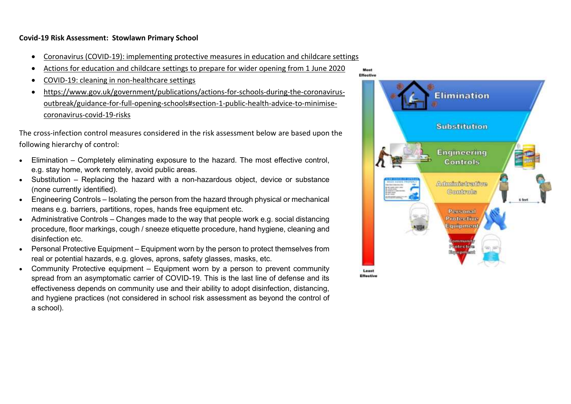## **Covid-19 Risk Assessment: Stowlawn Primary School**

- [Coronavirus \(COVID-19\): implementing protective measures in education and childcare settings](https://www.gov.uk/government/publications/coronavirus-covid-19-implementing-protective-measures-in-education-and-childcare-settings/coronavirus-covid-19-implementing-protective-measures-in-education-and-childcare-settings)
- [Actions for education and childcare settings to prepare for wider opening from 1 June 2020](https://www.gov.uk/government/publications/actions-for-educational-and-childcare-settings-to-prepare-for-wider-opening-from-1-june-2020/actions-for-education-and-childcare-settings-to-prepare-for-wider-opening-from-1-june-2020)
- [COVID-19: cleaning in non-healthcare settings](https://www.gov.uk/government/publications/covid-19-decontamination-in-non-healthcare-settings/covid-19-decontamination-in-non-healthcare-settings)
- [https://www.gov.uk/government/publications/actions-for-schools-during-the-coronavirus](https://www.gov.uk/government/publications/actions-for-schools-during-the-coronavirus-outbreak/guidance-for-full-opening-schools#section-1-public-health-advice-to-minimise-coronavirus-covid-19-risks)[outbreak/guidance-for-full-opening-schools#section-1-public-health-advice-to-minimise](https://www.gov.uk/government/publications/actions-for-schools-during-the-coronavirus-outbreak/guidance-for-full-opening-schools#section-1-public-health-advice-to-minimise-coronavirus-covid-19-risks)[coronavirus-covid-19-risks](https://www.gov.uk/government/publications/actions-for-schools-during-the-coronavirus-outbreak/guidance-for-full-opening-schools#section-1-public-health-advice-to-minimise-coronavirus-covid-19-risks)

The cross-infection control measures considered in the risk assessment below are based upon the following hierarchy of control:

- Elimination Completely eliminating exposure to the hazard. The most effective control, e.g. stay home, work remotely, avoid public areas.
- Substitution Replacing the hazard with a non-hazardous object, device or substance (none currently identified).
- Engineering Controls Isolating the person from the hazard through physical or mechanical means e.g. barriers, partitions, ropes, hands free equipment etc.
- Administrative Controls Changes made to the way that people work e.g. social distancing procedure, floor markings, cough / sneeze etiquette procedure, hand hygiene, cleaning and disinfection etc.
- Personal Protective Equipment Equipment worn by the person to protect themselves from real or potential hazards, e.g. gloves, aprons, safety glasses, masks, etc.
- Community Protective equipment Equipment worn by a person to prevent community spread from an asymptomatic carrier of COVID-19. This is the last line of defense and its effectiveness depends on community use and their ability to adopt disinfection, distancing, and hygiene practices (not considered in school risk assessment as beyond the control of a school).

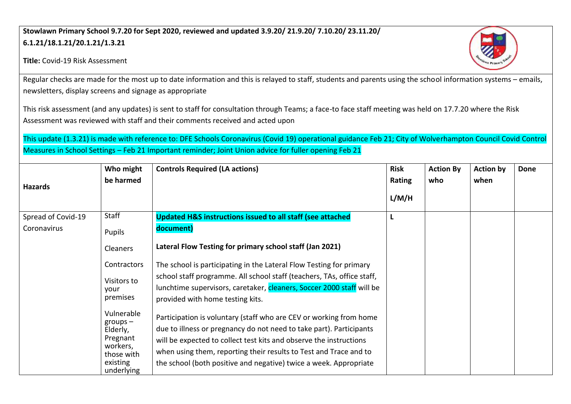## **Stowlawn Primary School 9.7.20 for Sept 2020, reviewed and updated 3.9.20/ 21.9.20/ 7.10.20/ 23.11.20/ 6.1.21/18.1.21/20.1.21/1.3.21**





Regular checks are made for the most up to date information and this is relayed to staff, students and parents using the school information systems – emails, newsletters, display screens and signage as appropriate

This risk assessment (and any updates) is sent to staff for consultation through Teams; a face-to face staff meeting was held on 17.7.20 where the Risk Assessment was reviewed with staff and their comments received and acted upon

This update (1.3.21) is made with reference to: DFE Schools Coronavirus (Covid 19) operational guidance Feb 21; City of Wolverhampton Council Covid Control Measures in School Settings – Feb 21 Important reminder; Joint Union advice for fuller opening Feb 21

| <b>Hazards</b>     | Who might<br>be harmed                                                                               | <b>Controls Required (LA actions)</b>                                                                                                                                                                                                                                                                                                                     | <b>Risk</b><br><b>Rating</b> | <b>Action By</b><br>who | <b>Action by</b><br>when | <b>Done</b> |
|--------------------|------------------------------------------------------------------------------------------------------|-----------------------------------------------------------------------------------------------------------------------------------------------------------------------------------------------------------------------------------------------------------------------------------------------------------------------------------------------------------|------------------------------|-------------------------|--------------------------|-------------|
|                    |                                                                                                      |                                                                                                                                                                                                                                                                                                                                                           | L/M/H                        |                         |                          |             |
| Spread of Covid-19 | Staff                                                                                                | <b>Updated H&amp;S instructions issued to all staff (see attached</b>                                                                                                                                                                                                                                                                                     | L                            |                         |                          |             |
| Coronavirus        | Pupils                                                                                               | document)                                                                                                                                                                                                                                                                                                                                                 |                              |                         |                          |             |
|                    | Cleaners                                                                                             | Lateral Flow Testing for primary school staff (Jan 2021)                                                                                                                                                                                                                                                                                                  |                              |                         |                          |             |
|                    | Contractors                                                                                          | The school is participating in the Lateral Flow Testing for primary                                                                                                                                                                                                                                                                                       |                              |                         |                          |             |
|                    | Visitors to<br>vour<br>premises                                                                      | school staff programme. All school staff (teachers, TAs, office staff,<br>lunchtime supervisors, caretaker, cleaners, Soccer 2000 staff will be<br>provided with home testing kits.                                                                                                                                                                       |                              |                         |                          |             |
|                    | Vulnerable<br>$groups -$<br>Elderly,<br>Pregnant<br>workers,<br>those with<br>existing<br>underlying | Participation is voluntary (staff who are CEV or working from home<br>due to illness or pregnancy do not need to take part). Participants<br>will be expected to collect test kits and observe the instructions<br>when using them, reporting their results to Test and Trace and to<br>the school (both positive and negative) twice a week. Appropriate |                              |                         |                          |             |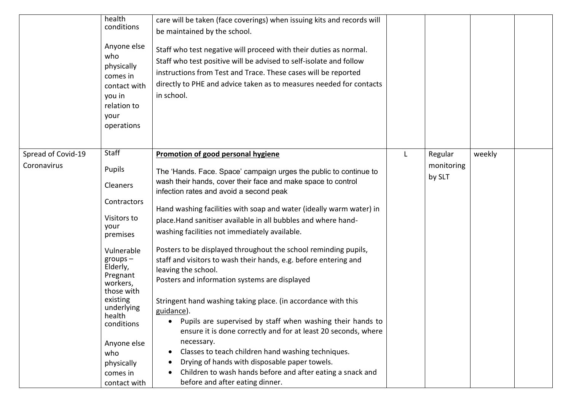|                                   | health<br>conditions<br>Anyone else<br>who<br>physically<br>comes in<br>contact with<br>you in<br>relation to<br>your<br>operations                                                                                                               | care will be taken (face coverings) when issuing kits and records will<br>be maintained by the school.<br>Staff who test negative will proceed with their duties as normal.<br>Staff who test positive will be advised to self-isolate and follow<br>instructions from Test and Trace. These cases will be reported<br>directly to PHE and advice taken as to measures needed for contacts<br>in school.                                                                                                                                                                                                                                                                                                                                                                                                                                                                                                                                                                    |   |                                 |        |  |
|-----------------------------------|---------------------------------------------------------------------------------------------------------------------------------------------------------------------------------------------------------------------------------------------------|-----------------------------------------------------------------------------------------------------------------------------------------------------------------------------------------------------------------------------------------------------------------------------------------------------------------------------------------------------------------------------------------------------------------------------------------------------------------------------------------------------------------------------------------------------------------------------------------------------------------------------------------------------------------------------------------------------------------------------------------------------------------------------------------------------------------------------------------------------------------------------------------------------------------------------------------------------------------------------|---|---------------------------------|--------|--|
| Spread of Covid-19<br>Coronavirus | Staff<br>Pupils<br>Cleaners<br>Contractors<br>Visitors to<br>your<br>premises<br>Vulnerable<br>$groups -$<br>Elderly,<br>Pregnant<br>workers,<br>those with<br>existing<br>underlying<br>health<br>conditions<br>Anyone else<br>who<br>physically | Promotion of good personal hygiene<br>The 'Hands. Face. Space' campaign urges the public to continue to<br>wash their hands, cover their face and make space to control<br>infection rates and avoid a second peak<br>Hand washing facilities with soap and water (ideally warm water) in<br>place.Hand sanitiser available in all bubbles and where hand-<br>washing facilities not immediately available.<br>Posters to be displayed throughout the school reminding pupils,<br>staff and visitors to wash their hands, e.g. before entering and<br>leaving the school.<br>Posters and information systems are displayed<br>Stringent hand washing taking place. (in accordance with this<br>guidance).<br>Pupils are supervised by staff when washing their hands to<br>$\bullet$<br>ensure it is done correctly and for at least 20 seconds, where<br>necessary.<br>Classes to teach children hand washing techniques.<br>Drying of hands with disposable paper towels. | L | Regular<br>monitoring<br>by SLT | weekly |  |
|                                   | comes in<br>contact with                                                                                                                                                                                                                          | Children to wash hands before and after eating a snack and<br>before and after eating dinner.                                                                                                                                                                                                                                                                                                                                                                                                                                                                                                                                                                                                                                                                                                                                                                                                                                                                               |   |                                 |        |  |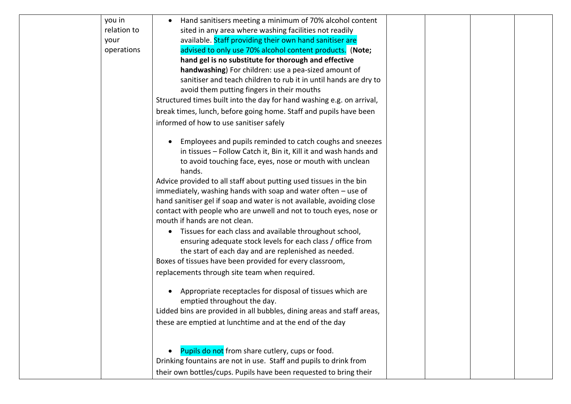| you in      | Hand sanitisers meeting a minimum of 70% alcohol content               |  |
|-------------|------------------------------------------------------------------------|--|
| relation to | sited in any area where washing facilities not readily                 |  |
| your        | available. Staff providing their own hand sanitiser are                |  |
| operations  | advised to only use 70% alcohol content products. (Note;               |  |
|             | hand gel is no substitute for thorough and effective                   |  |
|             | handwashing) For children: use a pea-sized amount of                   |  |
|             | sanitiser and teach children to rub it in until hands are dry to       |  |
|             | avoid them putting fingers in their mouths                             |  |
|             | Structured times built into the day for hand washing e.g. on arrival,  |  |
|             | break times, lunch, before going home. Staff and pupils have been      |  |
|             | informed of how to use sanitiser safely                                |  |
|             | Employees and pupils reminded to catch coughs and sneezes              |  |
|             | in tissues - Follow Catch it, Bin it, Kill it and wash hands and       |  |
|             | to avoid touching face, eyes, nose or mouth with unclean               |  |
|             | hands.                                                                 |  |
|             | Advice provided to all staff about putting used tissues in the bin     |  |
|             | immediately, washing hands with soap and water often $-$ use of        |  |
|             | hand sanitiser gel if soap and water is not available, avoiding close  |  |
|             | contact with people who are unwell and not to touch eyes, nose or      |  |
|             | mouth if hands are not clean.                                          |  |
|             | Tissues for each class and available throughout school,<br>$\bullet$   |  |
|             | ensuring adequate stock levels for each class / office from            |  |
|             | the start of each day and are replenished as needed.                   |  |
|             | Boxes of tissues have been provided for every classroom,               |  |
|             | replacements through site team when required.                          |  |
|             | Appropriate receptacles for disposal of tissues which are              |  |
|             | emptied throughout the day.                                            |  |
|             | Lidded bins are provided in all bubbles, dining areas and staff areas, |  |
|             | these are emptied at lunchtime and at the end of the day               |  |
|             |                                                                        |  |
|             | Pupils do not from share cutlery, cups or food.                        |  |
|             | Drinking fountains are not in use. Staff and pupils to drink from      |  |
|             | their own bottles/cups. Pupils have been requested to bring their      |  |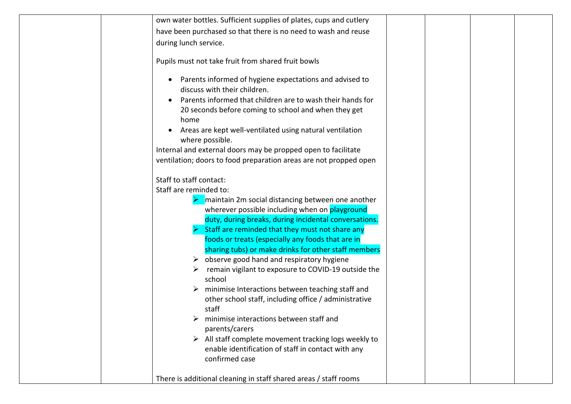| own water bottles. Sufficient supplies of plates, cups and cutlery                                                         |
|----------------------------------------------------------------------------------------------------------------------------|
| have been purchased so that there is no need to wash and reuse                                                             |
| during lunch service.                                                                                                      |
| Pupils must not take fruit from shared fruit bowls                                                                         |
| Parents informed of hygiene expectations and advised to<br>$\bullet$<br>discuss with their children.                       |
| Parents informed that children are to wash their hands for<br>20 seconds before coming to school and when they get<br>home |
| Areas are kept well-ventilated using natural ventilation<br>where possible.                                                |
| Internal and external doors may be propped open to facilitate                                                              |
| ventilation; doors to food preparation areas are not propped open                                                          |
|                                                                                                                            |
| Staff to staff contact:<br>Staff are reminded to:                                                                          |
|                                                                                                                            |
| maintain 2m social distancing between one another<br>wherever possible including when on playground                        |
| duty, during breaks, during incidental conversations.                                                                      |
| Staff are reminded that they must not share any                                                                            |
| foods or treats (especially any foods that are in                                                                          |
| sharing tubs) or make drinks for other staff members                                                                       |
| $\triangleright$ observe good hand and respiratory hygiene                                                                 |
| remain vigilant to exposure to COVID-19 outside the                                                                        |
| school                                                                                                                     |
| $\triangleright$ minimise Interactions between teaching staff and                                                          |
| other school staff, including office / administrative<br>staff                                                             |
| minimise interactions between staff and                                                                                    |
| parents/carers                                                                                                             |
| $\triangleright$ All staff complete movement tracking logs weekly to                                                       |
| enable identification of staff in contact with any                                                                         |
| confirmed case                                                                                                             |
|                                                                                                                            |
| There is additional cleaning in staff shared areas / staff rooms                                                           |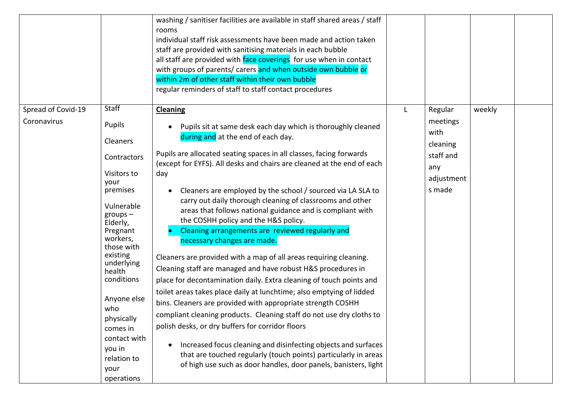|                                   |                                                                                                                                                                                                                                                                                                                              | washing / sanitiser facilities are available in staff shared areas / staff<br>rooms<br>individual staff risk assessments have been made and action taken<br>staff are provided with sanitising materials in each bubble<br>all staff are provided with face coverings for use when in contact<br>with groups of parents/ carers and when outside own bubble or<br>within 2m of other staff within their own bubble<br>regular reminders of staff to staff contact procedures                                                                                                                                                                                                                                                                                                                                                                                                                                                                                                                                                                                                                                                                                                                                                                                                              |   |                                                                                     |        |  |
|-----------------------------------|------------------------------------------------------------------------------------------------------------------------------------------------------------------------------------------------------------------------------------------------------------------------------------------------------------------------------|-------------------------------------------------------------------------------------------------------------------------------------------------------------------------------------------------------------------------------------------------------------------------------------------------------------------------------------------------------------------------------------------------------------------------------------------------------------------------------------------------------------------------------------------------------------------------------------------------------------------------------------------------------------------------------------------------------------------------------------------------------------------------------------------------------------------------------------------------------------------------------------------------------------------------------------------------------------------------------------------------------------------------------------------------------------------------------------------------------------------------------------------------------------------------------------------------------------------------------------------------------------------------------------------|---|-------------------------------------------------------------------------------------|--------|--|
| Spread of Covid-19<br>Coronavirus | Staff<br>Pupils<br>Cleaners<br>Contractors<br>Visitors to<br>your<br>premises<br>Vulnerable<br>$groups -$<br>Elderly,<br>Pregnant<br>workers,<br>those with<br>existing<br>underlying<br>health<br>conditions<br>Anyone else<br>who<br>physically<br>comes in<br>contact with<br>you in<br>relation to<br>your<br>operations | <b>Cleaning</b><br>Pupils sit at same desk each day which is thoroughly cleaned<br>during and at the end of each day.<br>Pupils are allocated seating spaces in all classes, facing forwards<br>(except for EYFS). All desks and chairs are cleaned at the end of each<br>day<br>Cleaners are employed by the school / sourced via LA SLA to<br>carry out daily thorough cleaning of classrooms and other<br>areas that follows national guidance and is compliant with<br>the COSHH policy and the H&S policy.<br>Cleaning arrangements are reviewed regularly and<br>necessary changes are made.<br>Cleaners are provided with a map of all areas requiring cleaning.<br>Cleaning staff are managed and have robust H&S procedures in<br>place for decontamination daily. Extra cleaning of touch points and<br>toilet areas takes place daily at lunchtime; also emptying of lidded<br>bins. Cleaners are provided with appropriate strength COSHH<br>compliant cleaning products. Cleaning staff do not use dry cloths to<br>polish desks, or dry buffers for corridor floors<br>Increased focus cleaning and disinfecting objects and surfaces<br>that are touched regularly (touch points) particularly in areas<br>of high use such as door handles, door panels, banisters, light | L | Regular<br>meetings<br>with<br>cleaning<br>staff and<br>any<br>adjustment<br>s made | weekly |  |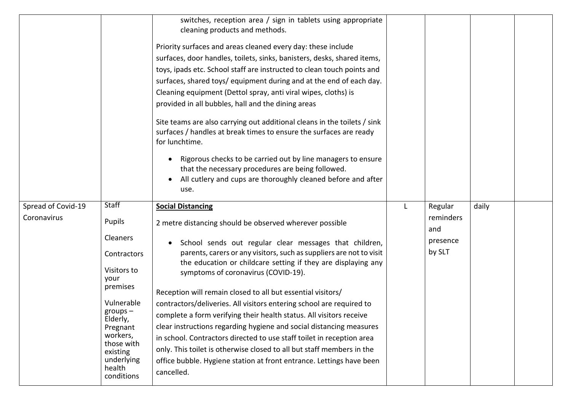|                                   |                                                                                                                                                                                                        | switches, reception area / sign in tablets using appropriate<br>cleaning products and methods.<br>Priority surfaces and areas cleaned every day: these include<br>surfaces, door handles, toilets, sinks, banisters, desks, shared items,<br>toys, ipads etc. School staff are instructed to clean touch points and<br>surfaces, shared toys/ equipment during and at the end of each day.<br>Cleaning equipment (Dettol spray, anti viral wipes, cloths) is<br>provided in all bubbles, hall and the dining areas<br>Site teams are also carrying out additional cleans in the toilets / sink<br>surfaces / handles at break times to ensure the surfaces are ready<br>for lunchtime.<br>Rigorous checks to be carried out by line managers to ensure                                                                                                    |   |                                                   |       |  |
|-----------------------------------|--------------------------------------------------------------------------------------------------------------------------------------------------------------------------------------------------------|-----------------------------------------------------------------------------------------------------------------------------------------------------------------------------------------------------------------------------------------------------------------------------------------------------------------------------------------------------------------------------------------------------------------------------------------------------------------------------------------------------------------------------------------------------------------------------------------------------------------------------------------------------------------------------------------------------------------------------------------------------------------------------------------------------------------------------------------------------------|---|---------------------------------------------------|-------|--|
|                                   |                                                                                                                                                                                                        | that the necessary procedures are being followed.<br>All cutlery and cups are thoroughly cleaned before and after<br>use.                                                                                                                                                                                                                                                                                                                                                                                                                                                                                                                                                                                                                                                                                                                                 |   |                                                   |       |  |
|                                   |                                                                                                                                                                                                        |                                                                                                                                                                                                                                                                                                                                                                                                                                                                                                                                                                                                                                                                                                                                                                                                                                                           |   |                                                   |       |  |
| Spread of Covid-19<br>Coronavirus | Staff<br>Pupils<br><b>Cleaners</b><br>Contractors<br>Visitors to<br>your<br>premises<br>Vulnerable<br>$groups -$<br>Elderly,<br>Pregnant<br>workers,<br>those with<br>existing<br>underlying<br>health | <b>Social Distancing</b><br>2 metre distancing should be observed wherever possible<br>School sends out regular clear messages that children,<br>parents, carers or any visitors, such as suppliers are not to visit<br>the education or childcare setting if they are displaying any<br>symptoms of coronavirus (COVID-19).<br>Reception will remain closed to all but essential visitors/<br>contractors/deliveries. All visitors entering school are required to<br>complete a form verifying their health status. All visitors receive<br>clear instructions regarding hygiene and social distancing measures<br>in school. Contractors directed to use staff toilet in reception area<br>only. This toilet is otherwise closed to all but staff members in the<br>office bubble. Hygiene station at front entrance. Lettings have been<br>cancelled. | L | Regular<br>reminders<br>and<br>presence<br>by SLT | daily |  |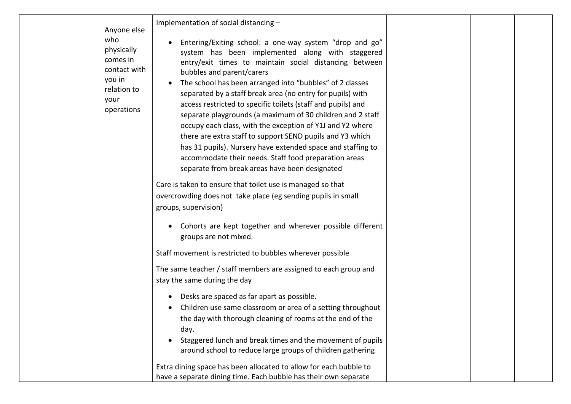| Anyone else<br>who<br>physically<br>comes in<br>contact with<br>you in<br>relation to<br>your<br>operations | Implementation of social distancing -<br>Entering/Exiting school: a one-way system "drop and go"<br>system has been implemented along with staggered<br>entry/exit times to maintain social distancing between<br>bubbles and parent/carers<br>The school has been arranged into "bubbles" of 2 classes<br>separated by a staff break area (no entry for pupils) with<br>access restricted to specific toilets (staff and pupils) and<br>separate playgrounds (a maximum of 30 children and 2 staff<br>occupy each class, with the exception of Y1J and Y2 where<br>there are extra staff to support SEND pupils and Y3 which<br>has 31 pupils). Nursery have extended space and staffing to<br>accommodate their needs. Staff food preparation areas<br>separate from break areas have been designated<br>Care is taken to ensure that toilet use is managed so that |  |  |
|-------------------------------------------------------------------------------------------------------------|-----------------------------------------------------------------------------------------------------------------------------------------------------------------------------------------------------------------------------------------------------------------------------------------------------------------------------------------------------------------------------------------------------------------------------------------------------------------------------------------------------------------------------------------------------------------------------------------------------------------------------------------------------------------------------------------------------------------------------------------------------------------------------------------------------------------------------------------------------------------------|--|--|
|                                                                                                             | overcrowding does not take place (eg sending pupils in small                                                                                                                                                                                                                                                                                                                                                                                                                                                                                                                                                                                                                                                                                                                                                                                                          |  |  |
|                                                                                                             | groups, supervision)                                                                                                                                                                                                                                                                                                                                                                                                                                                                                                                                                                                                                                                                                                                                                                                                                                                  |  |  |
|                                                                                                             | Cohorts are kept together and wherever possible different<br>groups are not mixed.                                                                                                                                                                                                                                                                                                                                                                                                                                                                                                                                                                                                                                                                                                                                                                                    |  |  |
|                                                                                                             | Staff movement is restricted to bubbles wherever possible                                                                                                                                                                                                                                                                                                                                                                                                                                                                                                                                                                                                                                                                                                                                                                                                             |  |  |
|                                                                                                             | The same teacher / staff members are assigned to each group and<br>stay the same during the day                                                                                                                                                                                                                                                                                                                                                                                                                                                                                                                                                                                                                                                                                                                                                                       |  |  |
|                                                                                                             | Desks are spaced as far apart as possible.<br>Children use same classroom or area of a setting throughout<br>the day with thorough cleaning of rooms at the end of the<br>day.<br>Staggered lunch and break times and the movement of pupils<br>around school to reduce large groups of children gathering                                                                                                                                                                                                                                                                                                                                                                                                                                                                                                                                                            |  |  |
|                                                                                                             | Extra dining space has been allocated to allow for each bubble to                                                                                                                                                                                                                                                                                                                                                                                                                                                                                                                                                                                                                                                                                                                                                                                                     |  |  |
|                                                                                                             | have a separate dining time. Each bubble has their own separate                                                                                                                                                                                                                                                                                                                                                                                                                                                                                                                                                                                                                                                                                                                                                                                                       |  |  |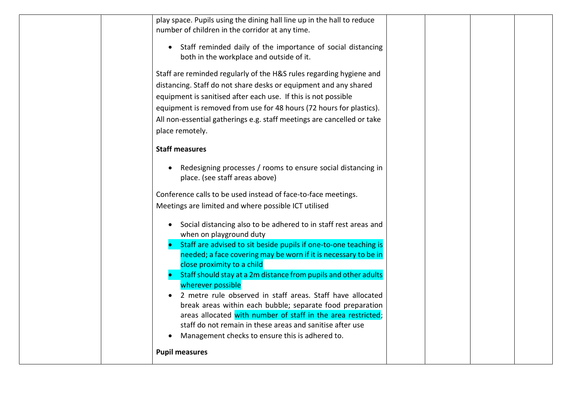| play space. Pupils using the dining hall line up in the hall to reduce                         |  |  |
|------------------------------------------------------------------------------------------------|--|--|
| number of children in the corridor at any time.                                                |  |  |
| Staff reminded daily of the importance of social distancing<br>$\bullet$                       |  |  |
| both in the workplace and outside of it.                                                       |  |  |
| Staff are reminded regularly of the H&S rules regarding hygiene and                            |  |  |
| distancing. Staff do not share desks or equipment and any shared                               |  |  |
|                                                                                                |  |  |
| equipment is sanitised after each use. If this is not possible                                 |  |  |
| equipment is removed from use for 48 hours (72 hours for plastics).                            |  |  |
| All non-essential gatherings e.g. staff meetings are cancelled or take                         |  |  |
| place remotely.                                                                                |  |  |
| <b>Staff measures</b>                                                                          |  |  |
| Redesigning processes / rooms to ensure social distancing in<br>place. (see staff areas above) |  |  |
| Conference calls to be used instead of face-to-face meetings.                                  |  |  |
| Meetings are limited and where possible ICT utilised                                           |  |  |
| Social distancing also to be adhered to in staff rest areas and                                |  |  |
| when on playground duty                                                                        |  |  |
| Staff are advised to sit beside pupils if one-to-one teaching is                               |  |  |
| needed; a face covering may be worn if it is necessary to be in                                |  |  |
| close proximity to a child                                                                     |  |  |
| Staff should stay at a 2m distance from pupils and other adults                                |  |  |
| wherever possible<br>2 metre rule observed in staff areas. Staff have allocated                |  |  |
| break areas within each bubble; separate food preparation                                      |  |  |
| areas allocated with number of staff in the area restricted;                                   |  |  |
| staff do not remain in these areas and sanitise after use                                      |  |  |
| Management checks to ensure this is adhered to.<br>$\bullet$                                   |  |  |
| <b>Pupil measures</b>                                                                          |  |  |
|                                                                                                |  |  |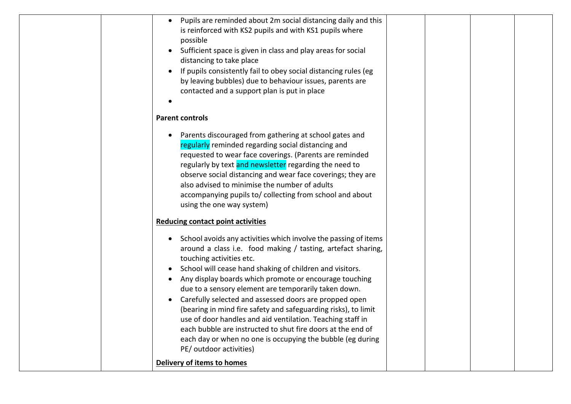|  | Pupils are reminded about 2m social distancing daily and this<br>$\bullet$   |  |  |
|--|------------------------------------------------------------------------------|--|--|
|  | is reinforced with KS2 pupils and with KS1 pupils where                      |  |  |
|  | possible                                                                     |  |  |
|  | Sufficient space is given in class and play areas for social                 |  |  |
|  | distancing to take place                                                     |  |  |
|  | If pupils consistently fail to obey social distancing rules (eg              |  |  |
|  | by leaving bubbles) due to behaviour issues, parents are                     |  |  |
|  | contacted and a support plan is put in place                                 |  |  |
|  |                                                                              |  |  |
|  | <b>Parent controls</b>                                                       |  |  |
|  | Parents discouraged from gathering at school gates and<br>$\bullet$          |  |  |
|  | regularly reminded regarding social distancing and                           |  |  |
|  | requested to wear face coverings. (Parents are reminded                      |  |  |
|  | regularly by text and newsletter regarding the need to                       |  |  |
|  | observe social distancing and wear face coverings; they are                  |  |  |
|  | also advised to minimise the number of adults                                |  |  |
|  | accompanying pupils to/ collecting from school and about                     |  |  |
|  | using the one way system)                                                    |  |  |
|  | <b>Reducing contact point activities</b>                                     |  |  |
|  |                                                                              |  |  |
|  | School avoids any activities which involve the passing of items<br>$\bullet$ |  |  |
|  | around a class i.e. food making / tasting, artefact sharing,                 |  |  |
|  | touching activities etc.                                                     |  |  |
|  | School will cease hand shaking of children and visitors.<br>$\bullet$        |  |  |
|  | Any display boards which promote or encourage touching                       |  |  |
|  | due to a sensory element are temporarily taken down.                         |  |  |
|  | Carefully selected and assessed doors are propped open<br>$\bullet$          |  |  |
|  | (bearing in mind fire safety and safeguarding risks), to limit               |  |  |
|  | use of door handles and aid ventilation. Teaching staff in                   |  |  |
|  | each bubble are instructed to shut fire doors at the end of                  |  |  |
|  | each day or when no one is occupying the bubble (eg during                   |  |  |
|  | PE/outdoor activities)                                                       |  |  |
|  | Delivery of items to homes                                                   |  |  |
|  |                                                                              |  |  |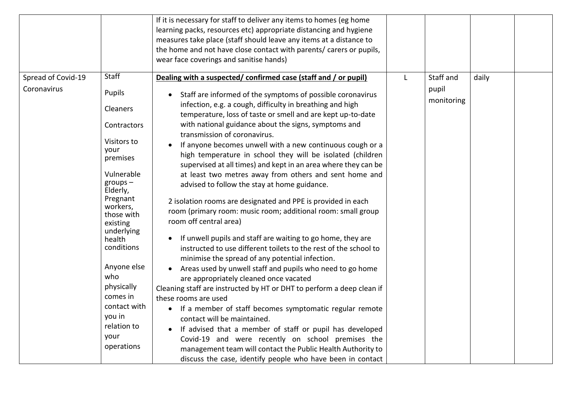|                                   | Staff                                                                                                                                             | If it is necessary for staff to deliver any items to homes (eg home<br>learning packs, resources etc) appropriate distancing and hygiene<br>measures take place (staff should leave any items at a distance to<br>the home and not have close contact with parents/ carers or pupils,<br>wear face coverings and sanitise hands)                                                                                                                                                                                                                                                                                                                                                                                                     |                     |  |
|-----------------------------------|---------------------------------------------------------------------------------------------------------------------------------------------------|--------------------------------------------------------------------------------------------------------------------------------------------------------------------------------------------------------------------------------------------------------------------------------------------------------------------------------------------------------------------------------------------------------------------------------------------------------------------------------------------------------------------------------------------------------------------------------------------------------------------------------------------------------------------------------------------------------------------------------------|---------------------|--|
| Spread of Covid-19<br>Coronavirus | Pupils<br><b>Cleaners</b>                                                                                                                         | Dealing with a suspected/confirmed case (staff and / or pupil)<br>Staff are informed of the symptoms of possible coronavirus<br>infection, e.g. a cough, difficulty in breathing and high<br>temperature, loss of taste or smell and are kept up-to-date                                                                                                                                                                                                                                                                                                                                                                                                                                                                             | pupil<br>monitoring |  |
|                                   | Contractors<br>Visitors to<br>your<br>premises<br>Vulnerable<br>$groups -$<br>Elderly,<br>Pregnant<br>workers,<br>those with<br>existing          | with national guidance about the signs, symptoms and<br>transmission of coronavirus.<br>If anyone becomes unwell with a new continuous cough or a<br>high temperature in school they will be isolated (children<br>supervised at all times) and kept in an area where they can be<br>at least two metres away from others and sent home and<br>advised to follow the stay at home guidance.<br>2 isolation rooms are designated and PPE is provided in each<br>room (primary room: music room; additional room: small group<br>room off central area)                                                                                                                                                                                |                     |  |
|                                   | underlying<br>health<br>conditions<br>Anyone else<br>who<br>physically<br>comes in<br>contact with<br>you in<br>relation to<br>your<br>operations | If unwell pupils and staff are waiting to go home, they are<br>instructed to use different toilets to the rest of the school to<br>minimise the spread of any potential infection.<br>Areas used by unwell staff and pupils who need to go home<br>are appropriately cleaned once vacated<br>Cleaning staff are instructed by HT or DHT to perform a deep clean if<br>these rooms are used<br>• If a member of staff becomes symptomatic regular remote<br>contact will be maintained.<br>If advised that a member of staff or pupil has developed<br>Covid-19 and were recently on school premises the<br>management team will contact the Public Health Authority to<br>discuss the case, identify people who have been in contact |                     |  |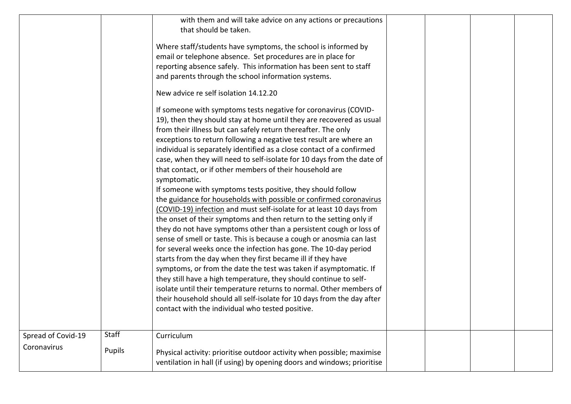|                    |        | with them and will take advice on any actions or precautions<br>that should be taken.                                                                                                                                                                                                                                                                                                                                                                                                                                                                                                                                                                                                                                                                                                                                                                                                                                                                                                                                                                                                                                                                                                                                                                                                                                                                                                                                            |  |  |
|--------------------|--------|----------------------------------------------------------------------------------------------------------------------------------------------------------------------------------------------------------------------------------------------------------------------------------------------------------------------------------------------------------------------------------------------------------------------------------------------------------------------------------------------------------------------------------------------------------------------------------------------------------------------------------------------------------------------------------------------------------------------------------------------------------------------------------------------------------------------------------------------------------------------------------------------------------------------------------------------------------------------------------------------------------------------------------------------------------------------------------------------------------------------------------------------------------------------------------------------------------------------------------------------------------------------------------------------------------------------------------------------------------------------------------------------------------------------------------|--|--|
|                    |        | Where staff/students have symptoms, the school is informed by<br>email or telephone absence. Set procedures are in place for<br>reporting absence safely. This information has been sent to staff<br>and parents through the school information systems.                                                                                                                                                                                                                                                                                                                                                                                                                                                                                                                                                                                                                                                                                                                                                                                                                                                                                                                                                                                                                                                                                                                                                                         |  |  |
|                    |        | New advice re self isolation 14.12.20                                                                                                                                                                                                                                                                                                                                                                                                                                                                                                                                                                                                                                                                                                                                                                                                                                                                                                                                                                                                                                                                                                                                                                                                                                                                                                                                                                                            |  |  |
|                    |        | If someone with symptoms tests negative for coronavirus (COVID-<br>19), then they should stay at home until they are recovered as usual<br>from their illness but can safely return thereafter. The only<br>exceptions to return following a negative test result are where an<br>individual is separately identified as a close contact of a confirmed<br>case, when they will need to self-isolate for 10 days from the date of<br>that contact, or if other members of their household are<br>symptomatic.<br>If someone with symptoms tests positive, they should follow<br>the guidance for households with possible or confirmed coronavirus<br>(COVID-19) infection and must self-isolate for at least 10 days from<br>the onset of their symptoms and then return to the setting only if<br>they do not have symptoms other than a persistent cough or loss of<br>sense of smell or taste. This is because a cough or anosmia can last<br>for several weeks once the infection has gone. The 10-day period<br>starts from the day when they first became ill if they have<br>symptoms, or from the date the test was taken if asymptomatic. If<br>they still have a high temperature, they should continue to self-<br>isolate until their temperature returns to normal. Other members of<br>their household should all self-isolate for 10 days from the day after<br>contact with the individual who tested positive. |  |  |
|                    |        |                                                                                                                                                                                                                                                                                                                                                                                                                                                                                                                                                                                                                                                                                                                                                                                                                                                                                                                                                                                                                                                                                                                                                                                                                                                                                                                                                                                                                                  |  |  |
| Spread of Covid-19 | Staff  | Curriculum                                                                                                                                                                                                                                                                                                                                                                                                                                                                                                                                                                                                                                                                                                                                                                                                                                                                                                                                                                                                                                                                                                                                                                                                                                                                                                                                                                                                                       |  |  |
| Coronavirus        | Pupils | Physical activity: prioritise outdoor activity when possible; maximise<br>ventilation in hall (if using) by opening doors and windows; prioritise                                                                                                                                                                                                                                                                                                                                                                                                                                                                                                                                                                                                                                                                                                                                                                                                                                                                                                                                                                                                                                                                                                                                                                                                                                                                                |  |  |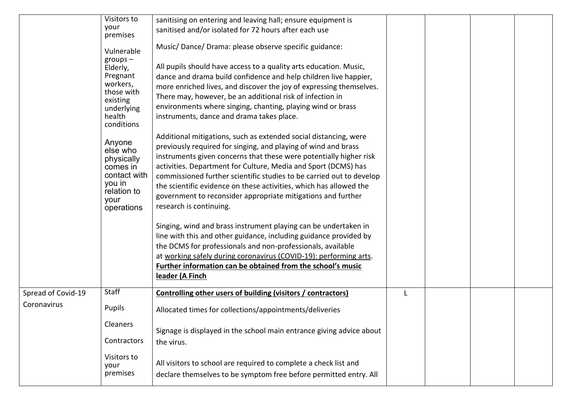|                                   | Visitors to<br>your<br>premises<br>Vulnerable<br>$groups -$<br>Elderly,<br>Pregnant<br>workers,<br>those with<br>existing<br>underlying<br>health<br>conditions<br>Anyone | sanitising on entering and leaving hall; ensure equipment is<br>sanitised and/or isolated for 72 hours after each use<br>Music/Dance/Drama: please observe specific guidance:<br>All pupils should have access to a quality arts education. Music,<br>dance and drama build confidence and help children live happier,<br>more enriched lives, and discover the joy of expressing themselves.<br>There may, however, be an additional risk of infection in<br>environments where singing, chanting, playing wind or brass<br>instruments, dance and drama takes place.<br>Additional mitigations, such as extended social distancing, were |  |  |
|-----------------------------------|---------------------------------------------------------------------------------------------------------------------------------------------------------------------------|--------------------------------------------------------------------------------------------------------------------------------------------------------------------------------------------------------------------------------------------------------------------------------------------------------------------------------------------------------------------------------------------------------------------------------------------------------------------------------------------------------------------------------------------------------------------------------------------------------------------------------------------|--|--|
|                                   | else who<br>physically<br>comes in<br>contact with<br>you in<br>relation to<br>your<br>operations                                                                         | previously required for singing, and playing of wind and brass<br>instruments given concerns that these were potentially higher risk<br>activities. Department for Culture, Media and Sport (DCMS) has<br>commissioned further scientific studies to be carried out to develop<br>the scientific evidence on these activities, which has allowed the<br>government to reconsider appropriate mitigations and further<br>research is continuing.<br>Singing, wind and brass instrument playing can be undertaken in                                                                                                                         |  |  |
|                                   |                                                                                                                                                                           | line with this and other guidance, including guidance provided by<br>the DCMS for professionals and non-professionals, available<br>at working safely during coronavirus (COVID-19): performing arts.<br>Further information can be obtained from the school's music<br>leader (A Finch                                                                                                                                                                                                                                                                                                                                                    |  |  |
| Spread of Covid-19<br>Coronavirus | <b>Staff</b><br><b>Pupils</b><br><b>Cleaners</b>                                                                                                                          | Controlling other users of building (visitors / contractors)<br>Allocated times for collections/appointments/deliveries<br>Signage is displayed in the school main entrance giving advice about                                                                                                                                                                                                                                                                                                                                                                                                                                            |  |  |
|                                   | Contractors<br>Visitors to<br>your<br>premises                                                                                                                            | the virus.<br>All visitors to school are required to complete a check list and<br>declare themselves to be symptom free before permitted entry. All                                                                                                                                                                                                                                                                                                                                                                                                                                                                                        |  |  |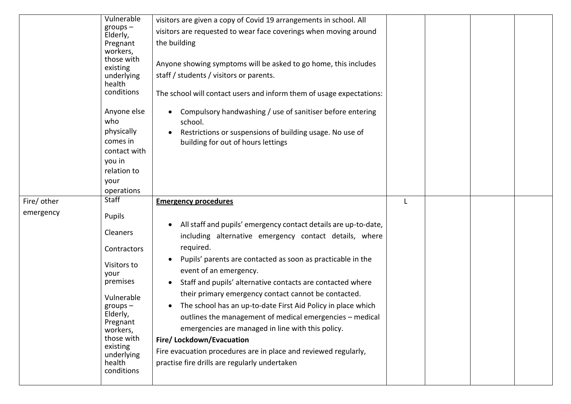|                          | Vulnerable<br>$groups -$<br>Elderly,<br>Pregnant<br>workers,<br>those with<br>existing<br>underlying<br>health<br>conditions<br>Anyone else<br>who<br>physically<br>comes in<br>contact with<br>you in<br>relation to<br>your<br>operations | visitors are given a copy of Covid 19 arrangements in school. All<br>visitors are requested to wear face coverings when moving around<br>the building<br>Anyone showing symptoms will be asked to go home, this includes<br>staff / students / visitors or parents.<br>The school will contact users and inform them of usage expectations:<br>Compulsory handwashing / use of sanitiser before entering<br>school.<br>Restrictions or suspensions of building usage. No use of<br>building for out of hours lettings |  |  |
|--------------------------|---------------------------------------------------------------------------------------------------------------------------------------------------------------------------------------------------------------------------------------------|-----------------------------------------------------------------------------------------------------------------------------------------------------------------------------------------------------------------------------------------------------------------------------------------------------------------------------------------------------------------------------------------------------------------------------------------------------------------------------------------------------------------------|--|--|
| Fire/ other<br>emergency | <b>Staff</b><br>Pupils                                                                                                                                                                                                                      | <b>Emergency procedures</b><br>All staff and pupils' emergency contact details are up-to-date,                                                                                                                                                                                                                                                                                                                                                                                                                        |  |  |
|                          | Cleaners<br>Contractors                                                                                                                                                                                                                     | including alternative emergency contact details, where<br>required.                                                                                                                                                                                                                                                                                                                                                                                                                                                   |  |  |
|                          | Visitors to<br>your<br>premises                                                                                                                                                                                                             | Pupils' parents are contacted as soon as practicable in the<br>event of an emergency.<br>Staff and pupils' alternative contacts are contacted where                                                                                                                                                                                                                                                                                                                                                                   |  |  |
|                          | Vulnerable<br>$groups -$<br>Elderly,<br>Pregnant<br>workers,<br>those with<br>existing<br>underlying<br>health<br>conditions                                                                                                                | their primary emergency contact cannot be contacted.<br>The school has an up-to-date First Aid Policy in place which<br>outlines the management of medical emergencies - medical<br>emergencies are managed in line with this policy.<br>Fire/Lockdown/Evacuation<br>Fire evacuation procedures are in place and reviewed regularly,<br>practise fire drills are regularly undertaken                                                                                                                                 |  |  |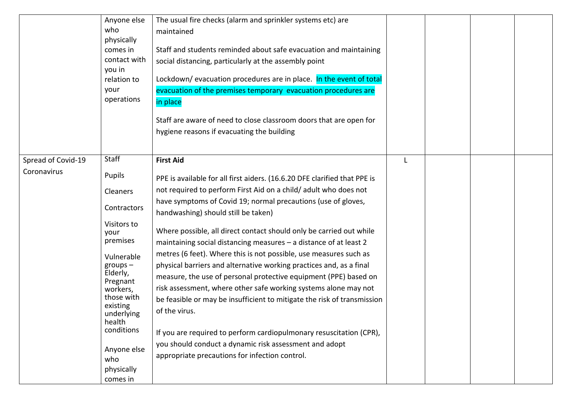|                    | Anyone else<br>who<br>physically<br>comes in<br>contact with<br>you in<br>relation to<br>your<br>operations                                                                  | The usual fire checks (alarm and sprinkler systems etc) are<br>maintained<br>Staff and students reminded about safe evacuation and maintaining<br>social distancing, particularly at the assembly point<br>Lockdown/ evacuation procedures are in place. In the event of total<br>evacuation of the premises temporary evacuation procedures are<br>in place<br>Staff are aware of need to close classroom doors that are open for<br>hygiene reasons if evacuating the building                                                                               |  |  |
|--------------------|------------------------------------------------------------------------------------------------------------------------------------------------------------------------------|----------------------------------------------------------------------------------------------------------------------------------------------------------------------------------------------------------------------------------------------------------------------------------------------------------------------------------------------------------------------------------------------------------------------------------------------------------------------------------------------------------------------------------------------------------------|--|--|
|                    |                                                                                                                                                                              |                                                                                                                                                                                                                                                                                                                                                                                                                                                                                                                                                                |  |  |
| Spread of Covid-19 | Staff                                                                                                                                                                        | <b>First Aid</b>                                                                                                                                                                                                                                                                                                                                                                                                                                                                                                                                               |  |  |
| Coronavirus        | Pupils                                                                                                                                                                       | PPE is available for all first aiders. (16.6.20 DFE clarified that PPE is                                                                                                                                                                                                                                                                                                                                                                                                                                                                                      |  |  |
|                    | Cleaners                                                                                                                                                                     | not required to perform First Aid on a child/ adult who does not                                                                                                                                                                                                                                                                                                                                                                                                                                                                                               |  |  |
|                    | Contractors                                                                                                                                                                  | have symptoms of Covid 19; normal precautions (use of gloves,<br>handwashing) should still be taken)                                                                                                                                                                                                                                                                                                                                                                                                                                                           |  |  |
|                    | Visitors to<br>your<br>premises                                                                                                                                              | Where possible, all direct contact should only be carried out while<br>maintaining social distancing measures - a distance of at least 2                                                                                                                                                                                                                                                                                                                                                                                                                       |  |  |
|                    | Vulnerable<br>$groups -$<br>Elderly,<br>Pregnant<br>workers,<br>those with<br>existing<br>underlying<br>health<br>conditions<br>Anyone else<br>who<br>physically<br>comes in | metres (6 feet). Where this is not possible, use measures such as<br>physical barriers and alternative working practices and, as a final<br>measure, the use of personal protective equipment (PPE) based on<br>risk assessment, where other safe working systems alone may not<br>be feasible or may be insufficient to mitigate the risk of transmission<br>of the virus.<br>If you are required to perform cardiopulmonary resuscitation (CPR),<br>you should conduct a dynamic risk assessment and adopt<br>appropriate precautions for infection control. |  |  |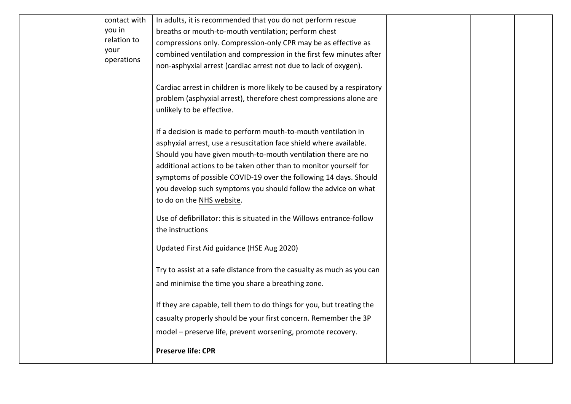| contact with       | In adults, it is recommended that you do not perform rescue             |  |  |
|--------------------|-------------------------------------------------------------------------|--|--|
| you in             | breaths or mouth-to-mouth ventilation; perform chest                    |  |  |
| relation to        | compressions only. Compression-only CPR may be as effective as          |  |  |
| your<br>operations | combined ventilation and compression in the first few minutes after     |  |  |
|                    | non-asphyxial arrest (cardiac arrest not due to lack of oxygen).        |  |  |
|                    |                                                                         |  |  |
|                    | Cardiac arrest in children is more likely to be caused by a respiratory |  |  |
|                    | problem (asphyxial arrest), therefore chest compressions alone are      |  |  |
|                    | unlikely to be effective.                                               |  |  |
|                    | If a decision is made to perform mouth-to-mouth ventilation in          |  |  |
|                    | asphyxial arrest, use a resuscitation face shield where available.      |  |  |
|                    | Should you have given mouth-to-mouth ventilation there are no           |  |  |
|                    | additional actions to be taken other than to monitor yourself for       |  |  |
|                    | symptoms of possible COVID-19 over the following 14 days. Should        |  |  |
|                    | you develop such symptoms you should follow the advice on what          |  |  |
|                    | to do on the NHS website.                                               |  |  |
|                    | Use of defibrillator: this is situated in the Willows entrance-follow   |  |  |
|                    | the instructions                                                        |  |  |
|                    |                                                                         |  |  |
|                    | Updated First Aid guidance (HSE Aug 2020)                               |  |  |
|                    | Try to assist at a safe distance from the casualty as much as you can   |  |  |
|                    | and minimise the time you share a breathing zone.                       |  |  |
|                    |                                                                         |  |  |
|                    | If they are capable, tell them to do things for you, but treating the   |  |  |
|                    | casualty properly should be your first concern. Remember the 3P         |  |  |
|                    | model - preserve life, prevent worsening, promote recovery.             |  |  |
|                    | <b>Preserve life: CPR</b>                                               |  |  |
|                    |                                                                         |  |  |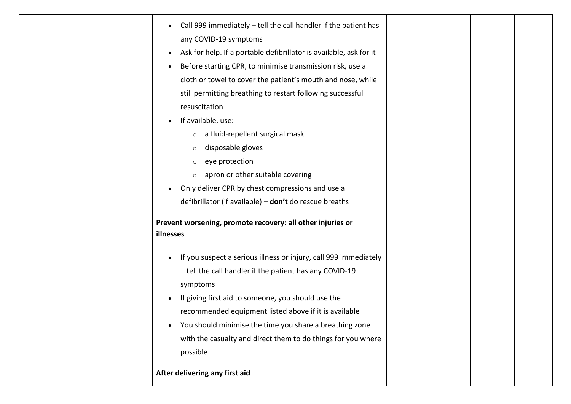| Call 999 immediately $-$ tell the call handler if the patient has<br>any COVID-19 symptoms<br>Ask for help. If a portable defibrillator is available, ask for it<br>$\bullet$<br>Before starting CPR, to minimise transmission risk, use a<br>cloth or towel to cover the patient's mouth and nose, while |  |  |
|-----------------------------------------------------------------------------------------------------------------------------------------------------------------------------------------------------------------------------------------------------------------------------------------------------------|--|--|
| still permitting breathing to restart following successful<br>resuscitation                                                                                                                                                                                                                               |  |  |
| If available, use:<br>$\bullet$                                                                                                                                                                                                                                                                           |  |  |
| $\circ$ a fluid-repellent surgical mask                                                                                                                                                                                                                                                                   |  |  |
| disposable gloves<br>$\circ$                                                                                                                                                                                                                                                                              |  |  |
| eye protection<br>$\circ$                                                                                                                                                                                                                                                                                 |  |  |
| $\circ$ apron or other suitable covering                                                                                                                                                                                                                                                                  |  |  |
| Only deliver CPR by chest compressions and use a                                                                                                                                                                                                                                                          |  |  |
| defibrillator (if available) - don't do rescue breaths                                                                                                                                                                                                                                                    |  |  |
| Prevent worsening, promote recovery: all other injuries or<br>illnesses                                                                                                                                                                                                                                   |  |  |
| If you suspect a serious illness or injury, call 999 immediately<br>- tell the call handler if the patient has any COVID-19<br>symptoms                                                                                                                                                                   |  |  |
| If giving first aid to someone, you should use the<br>$\bullet$                                                                                                                                                                                                                                           |  |  |
| recommended equipment listed above if it is available                                                                                                                                                                                                                                                     |  |  |
| You should minimise the time you share a breathing zone<br>$\bullet$                                                                                                                                                                                                                                      |  |  |
| with the casualty and direct them to do things for you where                                                                                                                                                                                                                                              |  |  |
| possible                                                                                                                                                                                                                                                                                                  |  |  |
| After delivering any first aid                                                                                                                                                                                                                                                                            |  |  |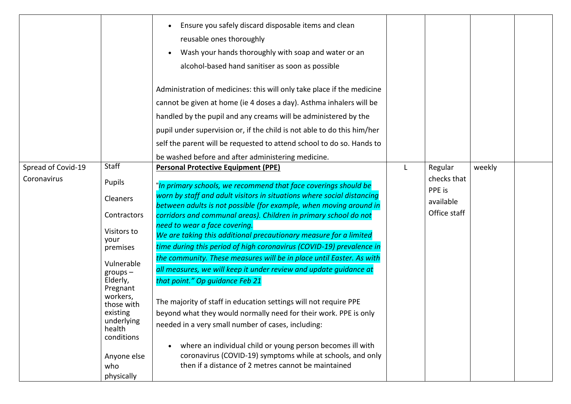|                                   |                                                                                                                                                                                                                                                          | Ensure you safely discard disposable items and clean<br>reusable ones thoroughly<br>Wash your hands thoroughly with soap and water or an<br>alcohol-based hand sanitiser as soon as possible<br>Administration of medicines: this will only take place if the medicine<br>cannot be given at home (ie 4 doses a day). Asthma inhalers will be<br>handled by the pupil and any creams will be administered by the<br>pupil under supervision or, if the child is not able to do this him/her<br>self the parent will be requested to attend school to do so. Hands to<br>be washed before and after administering medicine.                                                                                                                                                                                                                                                                                                                                                                                                                                                       |                                                               |        |  |
|-----------------------------------|----------------------------------------------------------------------------------------------------------------------------------------------------------------------------------------------------------------------------------------------------------|----------------------------------------------------------------------------------------------------------------------------------------------------------------------------------------------------------------------------------------------------------------------------------------------------------------------------------------------------------------------------------------------------------------------------------------------------------------------------------------------------------------------------------------------------------------------------------------------------------------------------------------------------------------------------------------------------------------------------------------------------------------------------------------------------------------------------------------------------------------------------------------------------------------------------------------------------------------------------------------------------------------------------------------------------------------------------------|---------------------------------------------------------------|--------|--|
| Spread of Covid-19<br>Coronavirus | <b>Staff</b><br>Pupils<br>Cleaners<br>Contractors<br>Visitors to<br>your<br>premises<br>Vulnerable<br>$groups -$<br>Elderly,<br>Pregnant<br>workers,<br>those with<br>existing<br>underlying<br>health<br>conditions<br>Anyone else<br>who<br>physically | <b>Personal Protective Equipment (PPE)</b><br>"In primary schools, we recommend that face coverings should be<br>worn by staff and adult visitors in situations where social distancing<br>between adults is not possible (for example, when moving around in<br>corridors and communal areas). Children in primary school do not<br>need to wear a face covering.<br>We are taking this additional precautionary measure for a limited<br>time during this period of high coronavirus (COVID-19) prevalence in<br>the community. These measures will be in place until Easter. As with<br>all measures, we will keep it under review and update guidance at<br>that point." Op guidance Feb 21<br>The majority of staff in education settings will not require PPE<br>beyond what they would normally need for their work. PPE is only<br>needed in a very small number of cases, including:<br>where an individual child or young person becomes ill with<br>coronavirus (COVID-19) symptoms while at schools, and only<br>then if a distance of 2 metres cannot be maintained | Regular<br>checks that<br>PPE is<br>available<br>Office staff | weekly |  |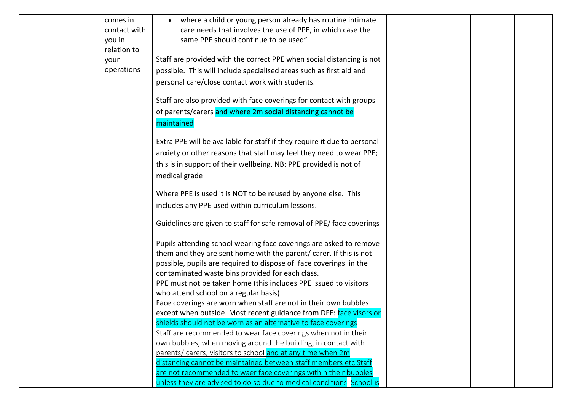| comes in<br>contact with<br>you in<br>relation to | where a child or young person already has routine intimate<br>care needs that involves the use of PPE, in which case the<br>same PPE should continue to be used" |  |  |
|---------------------------------------------------|------------------------------------------------------------------------------------------------------------------------------------------------------------------|--|--|
| your                                              | Staff are provided with the correct PPE when social distancing is not                                                                                            |  |  |
| operations                                        | possible. This will include specialised areas such as first aid and                                                                                              |  |  |
|                                                   | personal care/close contact work with students.                                                                                                                  |  |  |
|                                                   |                                                                                                                                                                  |  |  |
|                                                   | Staff are also provided with face coverings for contact with groups                                                                                              |  |  |
|                                                   | of parents/carers and where 2m social distancing cannot be                                                                                                       |  |  |
|                                                   | maintained                                                                                                                                                       |  |  |
|                                                   |                                                                                                                                                                  |  |  |
|                                                   | Extra PPE will be available for staff if they require it due to personal                                                                                         |  |  |
|                                                   | anxiety or other reasons that staff may feel they need to wear PPE;                                                                                              |  |  |
|                                                   | this is in support of their wellbeing. NB: PPE provided is not of                                                                                                |  |  |
|                                                   | medical grade                                                                                                                                                    |  |  |
|                                                   | Where PPE is used it is NOT to be reused by anyone else. This                                                                                                    |  |  |
|                                                   | includes any PPE used within curriculum lessons.                                                                                                                 |  |  |
|                                                   |                                                                                                                                                                  |  |  |
|                                                   | Guidelines are given to staff for safe removal of PPE/ face coverings                                                                                            |  |  |
|                                                   |                                                                                                                                                                  |  |  |
|                                                   | Pupils attending school wearing face coverings are asked to remove                                                                                               |  |  |
|                                                   | them and they are sent home with the parent/ carer. If this is not<br>possible, pupils are required to dispose of face coverings in the                          |  |  |
|                                                   | contaminated waste bins provided for each class.                                                                                                                 |  |  |
|                                                   | PPE must not be taken home (this includes PPE issued to visitors                                                                                                 |  |  |
|                                                   | who attend school on a regular basis)                                                                                                                            |  |  |
|                                                   | Face coverings are worn when staff are not in their own bubbles                                                                                                  |  |  |
|                                                   | except when outside. Most recent guidance from DFE: face visors or                                                                                               |  |  |
|                                                   | shields should not be worn as an alternative to face coverings                                                                                                   |  |  |
|                                                   | Staff are recommended to wear face coverings when not in their                                                                                                   |  |  |
|                                                   | own bubbles, when moving around the building, in contact with                                                                                                    |  |  |
|                                                   | parents/ carers, visitors to school and at any time when 2m                                                                                                      |  |  |
|                                                   | distancing cannot be maintained between staff members etc Staff                                                                                                  |  |  |
|                                                   | are not recommended to waer face coverings within their bubbles                                                                                                  |  |  |
|                                                   | unless they are advised to do so due to medical conditions. School is                                                                                            |  |  |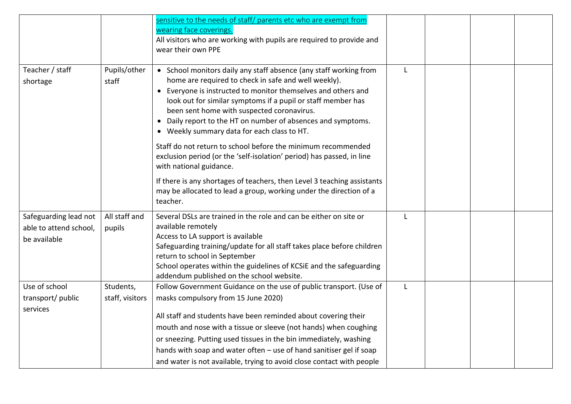|                                                                 |                              | sensitive to the needs of staff/ parents etc who are exempt from<br>wearing face coverings.<br>All visitors who are working with pupils are required to provide and<br>wear their own PPE                                                                                                                                                                                                                                                                                                                                                                                   |              |  |  |
|-----------------------------------------------------------------|------------------------------|-----------------------------------------------------------------------------------------------------------------------------------------------------------------------------------------------------------------------------------------------------------------------------------------------------------------------------------------------------------------------------------------------------------------------------------------------------------------------------------------------------------------------------------------------------------------------------|--------------|--|--|
| Teacher / staff<br>shortage                                     | Pupils/other<br>staff        | • School monitors daily any staff absence (any staff working from<br>home are required to check in safe and well weekly).<br>• Everyone is instructed to monitor themselves and others and<br>look out for similar symptoms if a pupil or staff member has<br>been sent home with suspected coronavirus.<br>Daily report to the HT on number of absences and symptoms.<br>$\bullet$<br>• Weekly summary data for each class to HT.<br>Staff do not return to school before the minimum recommended<br>exclusion period (or the 'self-isolation' period) has passed, in line | L            |  |  |
|                                                                 |                              | with national guidance.<br>If there is any shortages of teachers, then Level 3 teaching assistants<br>may be allocated to lead a group, working under the direction of a<br>teacher.                                                                                                                                                                                                                                                                                                                                                                                        |              |  |  |
| Safeguarding lead not<br>able to attend school,<br>be available | All staff and<br>pupils      | Several DSLs are trained in the role and can be either on site or<br>available remotely<br>Access to LA support is available<br>Safeguarding training/update for all staff takes place before children<br>return to school in September<br>School operates within the guidelines of KCSiE and the safeguarding<br>addendum published on the school website.                                                                                                                                                                                                                 | $\mathbf{L}$ |  |  |
| Use of school<br>transport/ public<br>services                  | Students,<br>staff, visitors | Follow Government Guidance on the use of public transport. (Use of<br>masks compulsory from 15 June 2020)<br>All staff and students have been reminded about covering their<br>mouth and nose with a tissue or sleeve (not hands) when coughing<br>or sneezing. Putting used tissues in the bin immediately, washing<br>hands with soap and water often - use of hand sanitiser gel if soap<br>and water is not available, trying to avoid close contact with people                                                                                                        | L            |  |  |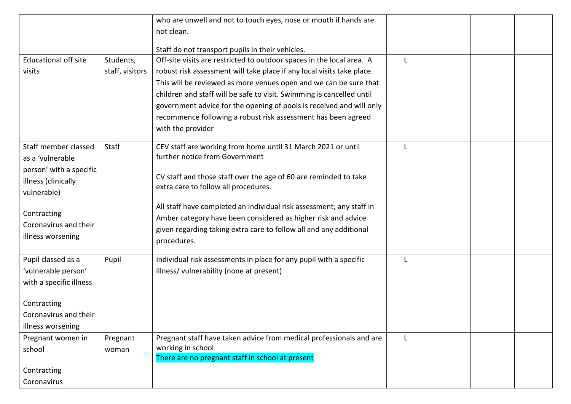|                                                                     |                 | who are unwell and not to touch eyes, nose or mouth if hands are                                         |   |  |  |
|---------------------------------------------------------------------|-----------------|----------------------------------------------------------------------------------------------------------|---|--|--|
|                                                                     |                 | not clean.                                                                                               |   |  |  |
|                                                                     |                 |                                                                                                          |   |  |  |
|                                                                     |                 | Staff do not transport pupils in their vehicles.                                                         |   |  |  |
| <b>Educational off site</b>                                         | Students,       | Off-site visits are restricted to outdoor spaces in the local area. A                                    |   |  |  |
| visits                                                              | staff, visitors | robust risk assessment will take place if any local visits take place.                                   |   |  |  |
|                                                                     |                 | This will be reviewed as more venues open and we can be sure that                                        |   |  |  |
|                                                                     |                 | children and staff will be safe to visit. Swimming is cancelled until                                    |   |  |  |
|                                                                     |                 | government advice for the opening of pools is received and will only                                     |   |  |  |
|                                                                     |                 | recommence following a robust risk assessment has been agreed                                            |   |  |  |
|                                                                     |                 | with the provider                                                                                        |   |  |  |
| Staff member classed<br>as a 'vulnerable<br>person' with a specific | Staff           | CEV staff are working from home until 31 March 2021 or until<br>further notice from Government           |   |  |  |
| illness (clinically<br>vulnerable)                                  |                 | CV staff and those staff over the age of 60 are reminded to take<br>extra care to follow all procedures. |   |  |  |
|                                                                     |                 | All staff have completed an individual risk assessment; any staff in                                     |   |  |  |
| Contracting                                                         |                 | Amber category have been considered as higher risk and advice                                            |   |  |  |
| Coronavirus and their                                               |                 | given regarding taking extra care to follow all and any additional                                       |   |  |  |
| illness worsening                                                   |                 | procedures.                                                                                              |   |  |  |
| Pupil classed as a                                                  | Pupil           | Individual risk assessments in place for any pupil with a specific                                       |   |  |  |
| 'vulnerable person'                                                 |                 | illness/ vulnerability (none at present)                                                                 |   |  |  |
| with a specific illness                                             |                 |                                                                                                          |   |  |  |
| Contracting                                                         |                 |                                                                                                          |   |  |  |
| Coronavirus and their                                               |                 |                                                                                                          |   |  |  |
| illness worsening                                                   |                 |                                                                                                          |   |  |  |
| Pregnant women in                                                   | Pregnant        | Pregnant staff have taken advice from medical professionals and are                                      | L |  |  |
| school                                                              | woman           | working in school                                                                                        |   |  |  |
|                                                                     |                 | There are no pregnant staff in school at present                                                         |   |  |  |
| Contracting                                                         |                 |                                                                                                          |   |  |  |
| Coronavirus                                                         |                 |                                                                                                          |   |  |  |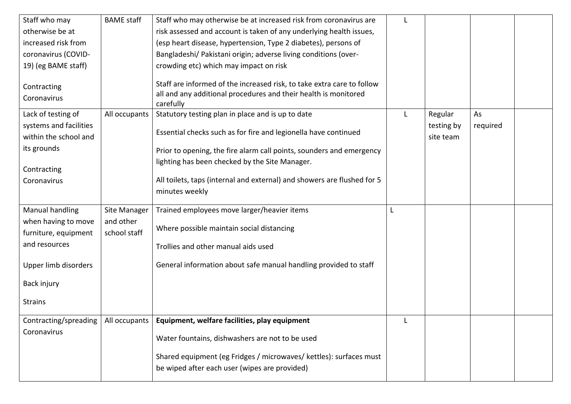| Staff who may                                                                                                                                    | <b>BAME</b> staff         | Staff who may otherwise be at increased risk from coronavirus are                                                                                                                                                                                                                                                                                                                                                                                                                                     |   |                                    |                |  |
|--------------------------------------------------------------------------------------------------------------------------------------------------|---------------------------|-------------------------------------------------------------------------------------------------------------------------------------------------------------------------------------------------------------------------------------------------------------------------------------------------------------------------------------------------------------------------------------------------------------------------------------------------------------------------------------------------------|---|------------------------------------|----------------|--|
| otherwise be at                                                                                                                                  |                           | risk assessed and account is taken of any underlying health issues,                                                                                                                                                                                                                                                                                                                                                                                                                                   |   |                                    |                |  |
| increased risk from                                                                                                                              |                           | (esp heart disease, hypertension, Type 2 diabetes), persons of                                                                                                                                                                                                                                                                                                                                                                                                                                        |   |                                    |                |  |
| coronavirus (COVID-                                                                                                                              |                           | Bangladeshi/ Pakistani origin; adverse living conditions (over-                                                                                                                                                                                                                                                                                                                                                                                                                                       |   |                                    |                |  |
| 19) (eg BAME staff)                                                                                                                              |                           | crowding etc) which may impact on risk                                                                                                                                                                                                                                                                                                                                                                                                                                                                |   |                                    |                |  |
| Contracting<br>Coronavirus<br>Lack of testing of<br>systems and facilities<br>within the school and<br>its grounds<br>Contracting<br>Coronavirus | All occupants             | Staff are informed of the increased risk, to take extra care to follow<br>all and any additional procedures and their health is monitored<br>carefully<br>Statutory testing plan in place and is up to date<br>Essential checks such as for fire and legionella have continued<br>Prior to opening, the fire alarm call points, sounders and emergency<br>lighting has been checked by the Site Manager.<br>All toilets, taps (internal and external) and showers are flushed for 5<br>minutes weekly | L | Regular<br>testing by<br>site team | As<br>required |  |
|                                                                                                                                                  |                           |                                                                                                                                                                                                                                                                                                                                                                                                                                                                                                       |   |                                    |                |  |
| Manual handling                                                                                                                                  | Site Manager              | Trained employees move larger/heavier items                                                                                                                                                                                                                                                                                                                                                                                                                                                           |   |                                    |                |  |
| when having to move<br>furniture, equipment                                                                                                      | and other<br>school staff | Where possible maintain social distancing                                                                                                                                                                                                                                                                                                                                                                                                                                                             |   |                                    |                |  |
| and resources                                                                                                                                    |                           | Trollies and other manual aids used                                                                                                                                                                                                                                                                                                                                                                                                                                                                   |   |                                    |                |  |
| Upper limb disorders                                                                                                                             |                           | General information about safe manual handling provided to staff                                                                                                                                                                                                                                                                                                                                                                                                                                      |   |                                    |                |  |
| Back injury                                                                                                                                      |                           |                                                                                                                                                                                                                                                                                                                                                                                                                                                                                                       |   |                                    |                |  |
| <b>Strains</b>                                                                                                                                   |                           |                                                                                                                                                                                                                                                                                                                                                                                                                                                                                                       |   |                                    |                |  |
| Contracting/spreading                                                                                                                            | All occupants             | Equipment, welfare facilities, play equipment                                                                                                                                                                                                                                                                                                                                                                                                                                                         |   |                                    |                |  |
| Coronavirus                                                                                                                                      |                           | Water fountains, dishwashers are not to be used                                                                                                                                                                                                                                                                                                                                                                                                                                                       |   |                                    |                |  |
|                                                                                                                                                  |                           | Shared equipment (eg Fridges / microwaves/ kettles): surfaces must                                                                                                                                                                                                                                                                                                                                                                                                                                    |   |                                    |                |  |
|                                                                                                                                                  |                           | be wiped after each user (wipes are provided)                                                                                                                                                                                                                                                                                                                                                                                                                                                         |   |                                    |                |  |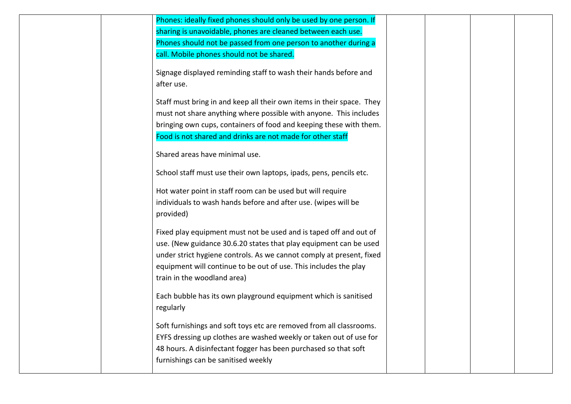| Phones: ideally fixed phones should only be used by one person. If<br>sharing is unavoidable, phones are cleaned between each use.<br>Phones should not be passed from one person to another during a<br>call. Mobile phones should not be shared.                                                                |  |  |
|-------------------------------------------------------------------------------------------------------------------------------------------------------------------------------------------------------------------------------------------------------------------------------------------------------------------|--|--|
| Signage displayed reminding staff to wash their hands before and<br>after use.                                                                                                                                                                                                                                    |  |  |
| Staff must bring in and keep all their own items in their space. They<br>must not share anything where possible with anyone. This includes<br>bringing own cups, containers of food and keeping these with them.<br>Food is not shared and drinks are not made for other staff                                    |  |  |
| Shared areas have minimal use.                                                                                                                                                                                                                                                                                    |  |  |
| School staff must use their own laptops, ipads, pens, pencils etc.                                                                                                                                                                                                                                                |  |  |
| Hot water point in staff room can be used but will require<br>individuals to wash hands before and after use. (wipes will be<br>provided)                                                                                                                                                                         |  |  |
| Fixed play equipment must not be used and is taped off and out of<br>use. (New guidance 30.6.20 states that play equipment can be used<br>under strict hygiene controls. As we cannot comply at present, fixed<br>equipment will continue to be out of use. This includes the play<br>train in the woodland area) |  |  |
| Each bubble has its own playground equipment which is sanitised<br>regularly                                                                                                                                                                                                                                      |  |  |
| Soft furnishings and soft toys etc are removed from all classrooms.<br>EYFS dressing up clothes are washed weekly or taken out of use for<br>48 hours. A disinfectant fogger has been purchased so that soft<br>furnishings can be sanitised weekly                                                               |  |  |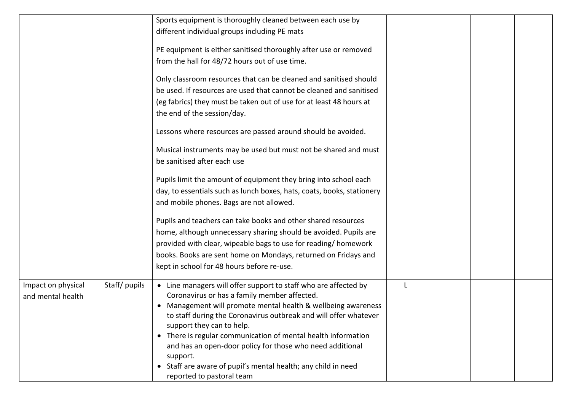|                                         |              | Sports equipment is thoroughly cleaned between each use by<br>different individual groups including PE mats<br>PE equipment is either sanitised thoroughly after use or removed<br>from the hall for 48/72 hours out of use time.<br>Only classroom resources that can be cleaned and sanitised should<br>be used. If resources are used that cannot be cleaned and sanitised<br>(eg fabrics) they must be taken out of use for at least 48 hours at                                                                    |   |  |  |
|-----------------------------------------|--------------|-------------------------------------------------------------------------------------------------------------------------------------------------------------------------------------------------------------------------------------------------------------------------------------------------------------------------------------------------------------------------------------------------------------------------------------------------------------------------------------------------------------------------|---|--|--|
|                                         |              | the end of the session/day.<br>Lessons where resources are passed around should be avoided.<br>Musical instruments may be used but must not be shared and must                                                                                                                                                                                                                                                                                                                                                          |   |  |  |
|                                         |              | be sanitised after each use<br>Pupils limit the amount of equipment they bring into school each<br>day, to essentials such as lunch boxes, hats, coats, books, stationery                                                                                                                                                                                                                                                                                                                                               |   |  |  |
|                                         |              | and mobile phones. Bags are not allowed.<br>Pupils and teachers can take books and other shared resources                                                                                                                                                                                                                                                                                                                                                                                                               |   |  |  |
|                                         |              | home, although unnecessary sharing should be avoided. Pupils are<br>provided with clear, wipeable bags to use for reading/ homework<br>books. Books are sent home on Mondays, returned on Fridays and<br>kept in school for 48 hours before re-use.                                                                                                                                                                                                                                                                     |   |  |  |
| Impact on physical<br>and mental health | Staff/pupils | • Line managers will offer support to staff who are affected by<br>Coronavirus or has a family member affected.<br>Management will promote mental health & wellbeing awareness<br>to staff during the Coronavirus outbreak and will offer whatever<br>support they can to help.<br>• There is regular communication of mental health information<br>and has an open-door policy for those who need additional<br>support.<br>• Staff are aware of pupil's mental health; any child in need<br>reported to pastoral team | L |  |  |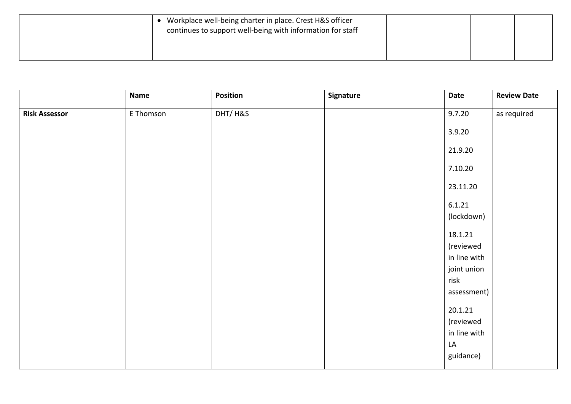| Workplace well-being charter in place. Crest H&S officer<br>continues to support well-being with information for staff |  |  |
|------------------------------------------------------------------------------------------------------------------------|--|--|
|                                                                                                                        |  |  |

|                      | <b>Name</b> | Position | Signature | Date                | <b>Review Date</b> |
|----------------------|-------------|----------|-----------|---------------------|--------------------|
| <b>Risk Assessor</b> | E Thomson   | DHT/H&S  |           | 9.7.20              | as required        |
|                      |             |          |           | 3.9.20              |                    |
|                      |             |          |           | 21.9.20             |                    |
|                      |             |          |           | 7.10.20             |                    |
|                      |             |          |           | 23.11.20            |                    |
|                      |             |          |           | 6.1.21              |                    |
|                      |             |          |           | (lockdown)          |                    |
|                      |             |          |           | 18.1.21             |                    |
|                      |             |          |           | (reviewed           |                    |
|                      |             |          |           | in line with        |                    |
|                      |             |          |           | joint union<br>risk |                    |
|                      |             |          |           | assessment)         |                    |
|                      |             |          |           | 20.1.21             |                    |
|                      |             |          |           | (reviewed           |                    |
|                      |             |          |           | in line with        |                    |
|                      |             |          |           | LA                  |                    |
|                      |             |          |           | guidance)           |                    |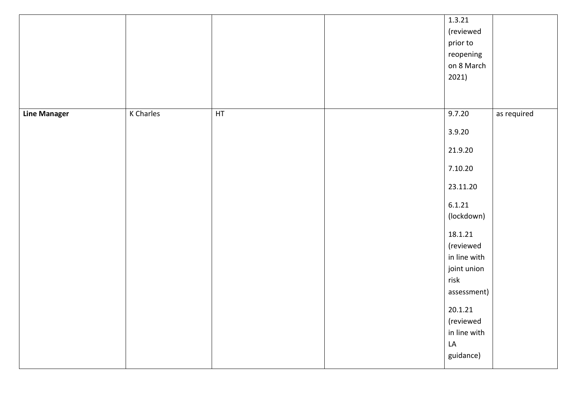|                     |                  |    | 1.3.21       |             |
|---------------------|------------------|----|--------------|-------------|
|                     |                  |    | (reviewed    |             |
|                     |                  |    | prior to     |             |
|                     |                  |    | reopening    |             |
|                     |                  |    | on 8 March   |             |
|                     |                  |    | 2021)        |             |
|                     |                  |    |              |             |
|                     |                  |    |              |             |
| <b>Line Manager</b> | <b>K</b> Charles | HT | 9.7.20       | as required |
|                     |                  |    | 3.9.20       |             |
|                     |                  |    | 21.9.20      |             |
|                     |                  |    | 7.10.20      |             |
|                     |                  |    | 23.11.20     |             |
|                     |                  |    | 6.1.21       |             |
|                     |                  |    | (lockdown)   |             |
|                     |                  |    | 18.1.21      |             |
|                     |                  |    | (reviewed    |             |
|                     |                  |    | in line with |             |
|                     |                  |    | joint union  |             |
|                     |                  |    | risk         |             |
|                     |                  |    | assessment)  |             |
|                     |                  |    | 20.1.21      |             |
|                     |                  |    | (reviewed    |             |
|                     |                  |    | in line with |             |
|                     |                  |    | LA           |             |
|                     |                  |    | guidance)    |             |
|                     |                  |    |              |             |